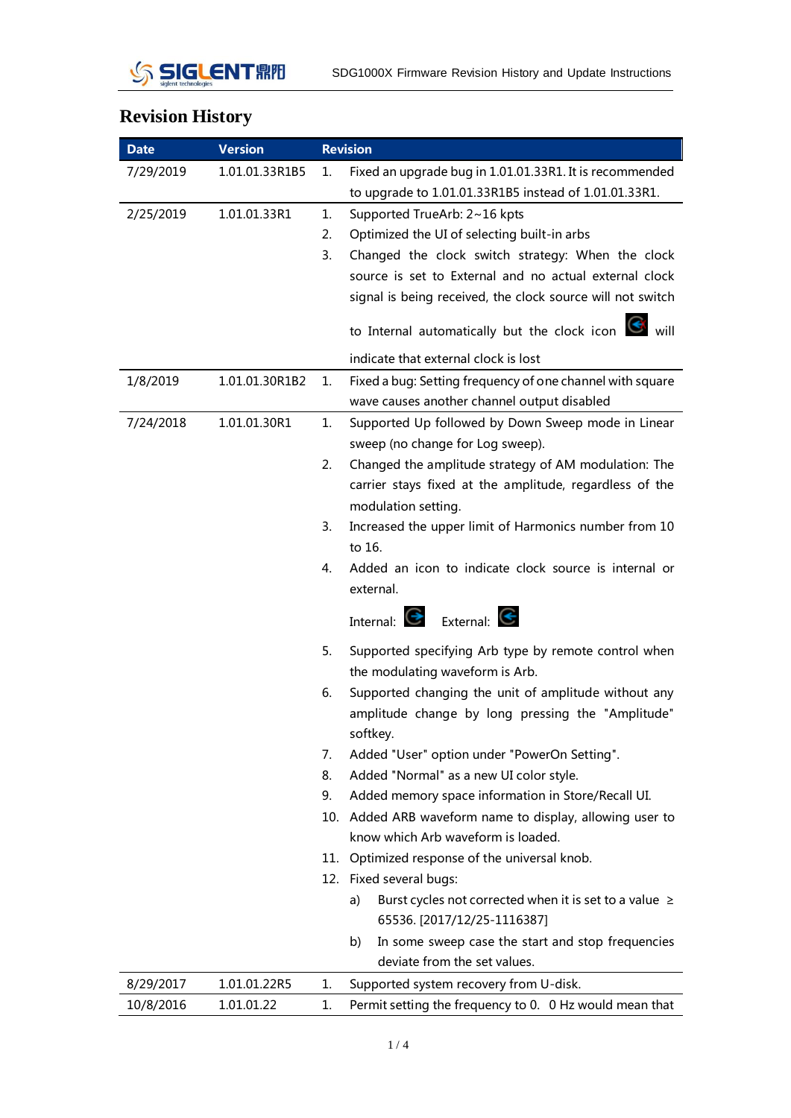| <b>Revision History</b> |
|-------------------------|
|                         |

| <b>Date</b> | <b>Version</b> | <b>Revision</b> |                                                                   |  |  |
|-------------|----------------|-----------------|-------------------------------------------------------------------|--|--|
| 7/29/2019   | 1.01.01.33R1B5 | 1.              | Fixed an upgrade bug in 1.01.01.33R1. It is recommended           |  |  |
|             |                |                 | to upgrade to 1.01.01.33R1B5 instead of 1.01.01.33R1.             |  |  |
| 2/25/2019   | 1.01.01.33R1   | 1.              | Supported TrueArb: 2~16 kpts                                      |  |  |
|             |                | 2.              | Optimized the UI of selecting built-in arbs                       |  |  |
|             |                | 3.              | Changed the clock switch strategy: When the clock                 |  |  |
|             |                |                 | source is set to External and no actual external clock            |  |  |
|             |                |                 | signal is being received, the clock source will not switch        |  |  |
|             |                |                 | to Internal automatically but the clock icon $\mathbf{C}$ will    |  |  |
|             |                |                 | indicate that external clock is lost                              |  |  |
| 1/8/2019    | 1.01.01.30R1B2 | 1.              | Fixed a bug: Setting frequency of one channel with square         |  |  |
|             |                |                 | wave causes another channel output disabled                       |  |  |
| 7/24/2018   | 1.01.01.30R1   | 1.              | Supported Up followed by Down Sweep mode in Linear                |  |  |
|             |                |                 | sweep (no change for Log sweep).                                  |  |  |
|             |                | 2.              | Changed the amplitude strategy of AM modulation: The              |  |  |
|             |                |                 | carrier stays fixed at the amplitude, regardless of the           |  |  |
|             |                |                 | modulation setting.                                               |  |  |
|             |                | 3.              | Increased the upper limit of Harmonics number from 10             |  |  |
|             |                |                 | to 16.                                                            |  |  |
|             |                | 4.              | Added an icon to indicate clock source is internal or             |  |  |
|             |                |                 | external.                                                         |  |  |
|             |                |                 | External:<br>Internal: $\bullet$                                  |  |  |
|             |                | 5.              | Supported specifying Arb type by remote control when              |  |  |
|             |                |                 | the modulating waveform is Arb.                                   |  |  |
|             |                | 6.              | Supported changing the unit of amplitude without any              |  |  |
|             |                |                 | amplitude change by long pressing the "Amplitude"                 |  |  |
|             |                |                 | softkey.                                                          |  |  |
|             |                | 7.              | Added "User" option under "PowerOn Setting".                      |  |  |
|             |                | 8.              | Added "Normal" as a new UI color style.                           |  |  |
|             |                | 9.              | Added memory space information in Store/Recall UI.                |  |  |
|             |                |                 | 10. Added ARB waveform name to display, allowing user to          |  |  |
|             |                |                 | know which Arb waveform is loaded.                                |  |  |
|             |                |                 | 11. Optimized response of the universal knob.                     |  |  |
|             |                |                 | 12. Fixed several bugs:                                           |  |  |
|             |                |                 | Burst cycles not corrected when it is set to a value $\geq$<br>a) |  |  |
|             |                |                 | 65536. [2017/12/25-1116387]                                       |  |  |
|             |                |                 | In some sweep case the start and stop frequencies<br>b)           |  |  |
|             |                |                 | deviate from the set values.                                      |  |  |
| 8/29/2017   | 1.01.01.22R5   | 1.              | Supported system recovery from U-disk.                            |  |  |
| 10/8/2016   | 1.01.01.22     | 1.              | Permit setting the frequency to 0. 0 Hz would mean that           |  |  |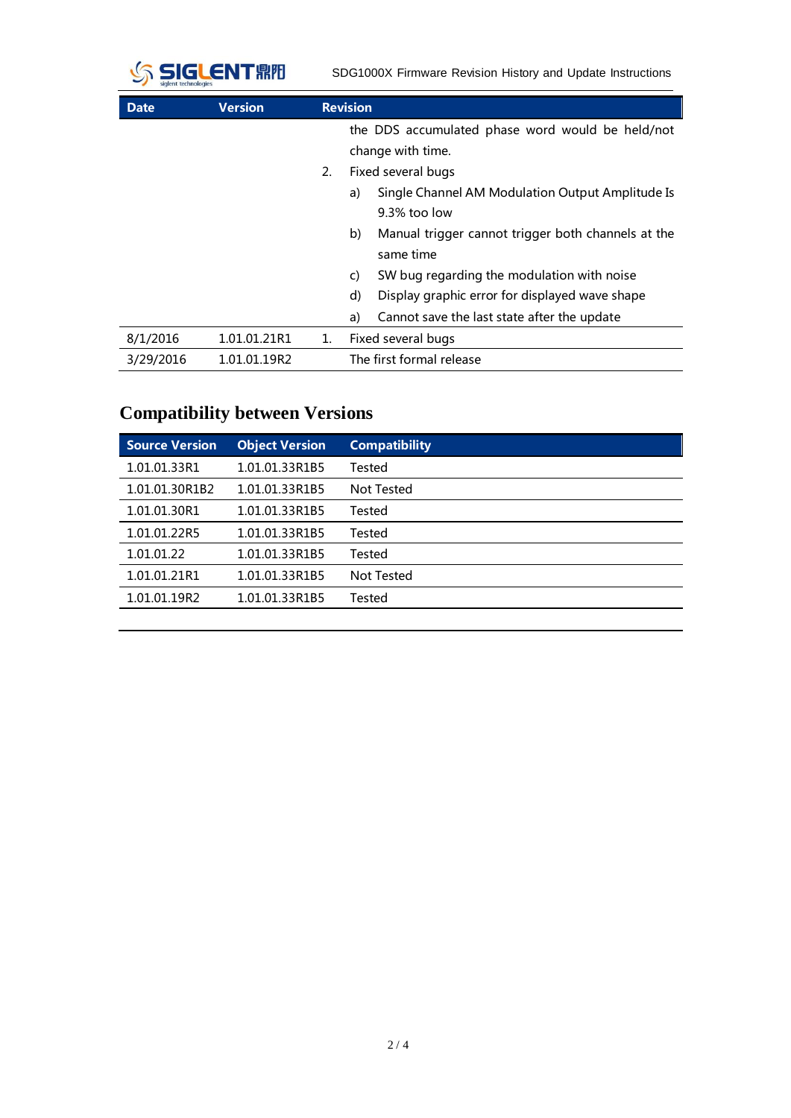

SDG1000X Firmware Revision History and Update Instructions

| <b>Date</b> | <b>Version</b> |    | <b>Revision</b>                                          |  |  |  |
|-------------|----------------|----|----------------------------------------------------------|--|--|--|
|             |                |    | the DDS accumulated phase word would be held/not         |  |  |  |
|             |                |    | change with time.                                        |  |  |  |
|             |                | 2. | Fixed several bugs                                       |  |  |  |
|             |                |    | Single Channel AM Modulation Output Amplitude Is<br>a)   |  |  |  |
|             |                |    | 9.3% too low                                             |  |  |  |
|             |                |    | Manual trigger cannot trigger both channels at the<br>b) |  |  |  |
|             |                |    | same time                                                |  |  |  |
|             |                |    | SW bug regarding the modulation with noise<br>C)         |  |  |  |
|             |                |    | Display graphic error for displayed wave shape<br>d)     |  |  |  |
|             |                |    | Cannot save the last state after the update<br>a)        |  |  |  |
| 8/1/2016    | 1.01.01.21R1   | 1. | Fixed several bugs                                       |  |  |  |
| 3/29/2016   | 1.01.01.19R2   |    | The first formal release                                 |  |  |  |

## **Compatibility between Versions**

| <b>Source Version</b> | <b>Object Version</b> | <b>Compatibility</b> |
|-----------------------|-----------------------|----------------------|
| 1.01.01.33R1          | 1.01.01.33R1B5        | Tested               |
| 1.01.01.30R1B2        | 1.01.01.33R1B5        | Not Tested           |
| 1.01.01.30R1          | 1.01.01.33R1B5        | Tested               |
| 1.01.01.22R5          | 1.01.01.33R1B5        | Tested               |
| 1.01.01.22            | 1.01.01.33R1B5        | Tested               |
| 1.01.01.21R1          | 1.01.01.33R1B5        | Not Tested           |
| 1.01.01.19R2          | 1.01.01.33R1B5        | Tested               |
|                       |                       |                      |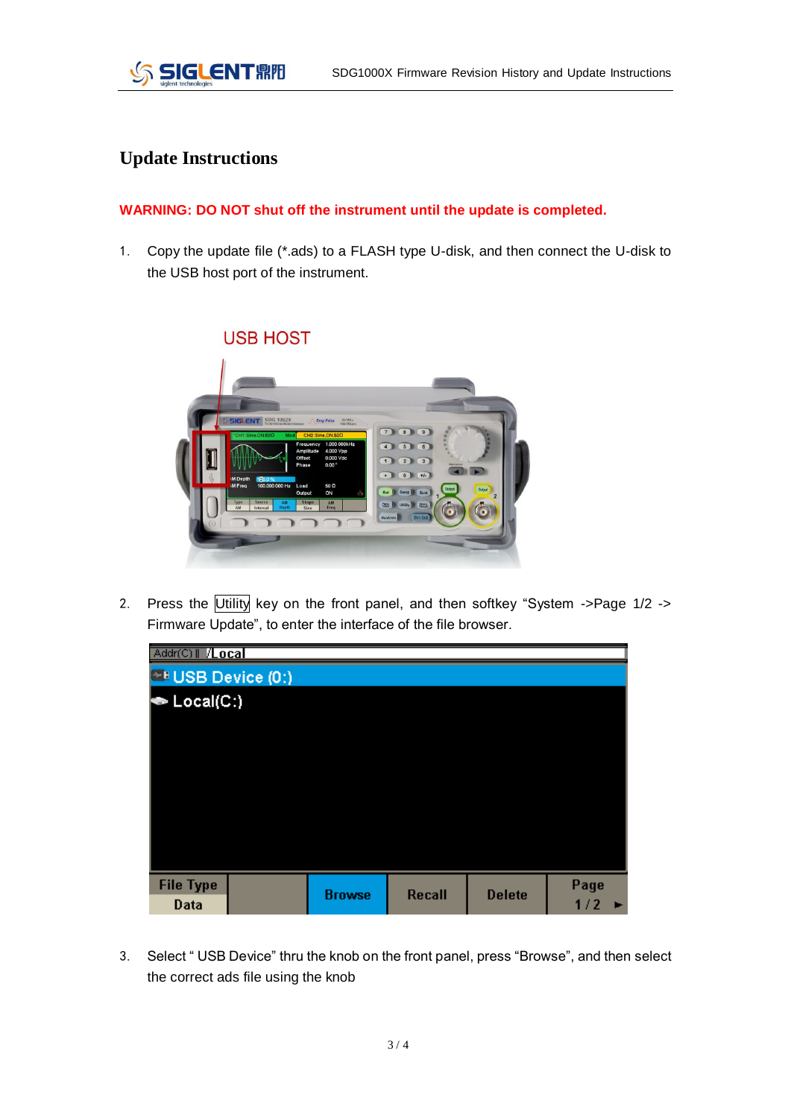

## **Update Instructions**

## **WARNING: DO NOT shut off the instrument until the update is completed.**

1. Copy the update file (\*.ads) to a FLASH type U-disk, and then connect the U-disk to the USB host port of the instrument.



2. Press the Utility key on the front panel, and then softkey "System ->Page 1/2 -> Firmware Update", to enter the interface of the file browser.



3. Select " USB Device" thru the knob on the front panel, press "Browse", and then select the correct ads file using the knob